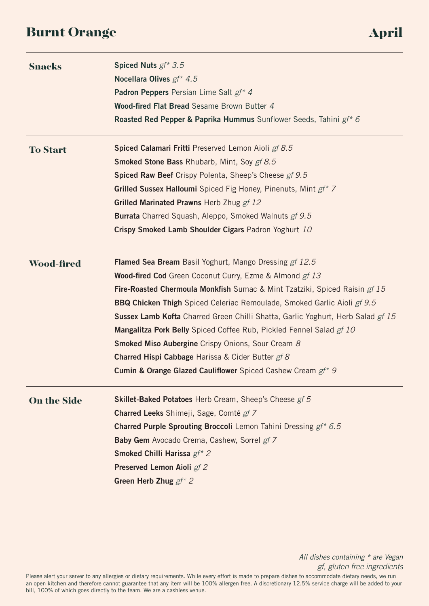# Burnt Orange April and April 2013

| <b>Snacks</b>      | Spiced Nuts $gf^*$ 3.5                                                                   |
|--------------------|------------------------------------------------------------------------------------------|
|                    | Nocellara Olives gf* 4.5                                                                 |
|                    | Padron Peppers Persian Lime Salt gf* 4                                                   |
|                    | Wood-fired Flat Bread Sesame Brown Butter 4                                              |
|                    | Roasted Red Pepper & Paprika Hummus Sunflower Seeds, Tahini gf* 6                        |
| <b>To Start</b>    | Spiced Calamari Fritti Preserved Lemon Aioli gf 8.5                                      |
|                    | <b>Smoked Stone Bass Rhubarb, Mint, Soy gf 8.5</b>                                       |
|                    | Spiced Raw Beef Crispy Polenta, Sheep's Cheese gf 9.5                                    |
|                    | Grilled Sussex Halloumi Spiced Fig Honey, Pinenuts, Mint gf* 7                           |
|                    | Grilled Marinated Prawns Herb Zhug gf 12                                                 |
|                    | <b>Burrata</b> Charred Squash, Aleppo, Smoked Walnuts gf 9.5                             |
|                    | Crispy Smoked Lamb Shoulder Cigars Padron Yoghurt 10                                     |
| <b>Wood-fired</b>  | <b>Flamed Sea Bream</b> Basil Yoghurt, Mango Dressing gf 12.5                            |
|                    | Wood-fired Cod Green Coconut Curry, Ezme & Almond gf 13                                  |
|                    | <b>Fire-Roasted Chermoula Monkfish</b> Sumac & Mint Tzatziki, Spiced Raisin <i>gf 15</i> |
|                    | <b>BBQ Chicken Thigh</b> Spiced Celeriac Remoulade, Smoked Garlic Aioli gf 9.5           |
|                    | Sussex Lamb Kofta Charred Green Chilli Shatta, Garlic Yoghurt, Herb Salad gf 15          |
|                    | <b>Mangalitza Pork Belly</b> Spiced Coffee Rub, Pickled Fennel Salad gf 10               |
|                    | <b>Smoked Miso Aubergine</b> Crispy Onions, Sour Cream 8                                 |
|                    | <b>Charred Hispi Cabbage</b> Harissa & Cider Butter gf 8                                 |
|                    | <b>Cumin &amp; Orange Glazed Cauliflower</b> Spiced Cashew Cream gf* 9                   |
| <b>On the Side</b> | Skillet-Baked Potatoes Herb Cream, Sheep's Cheese gf 5                                   |
|                    | Charred Leeks Shimeji, Sage, Comté gf 7                                                  |
|                    | Charred Purple Sprouting Broccoli Lemon Tahini Dressing gf* 6.5                          |
|                    | Baby Gem Avocado Crema, Cashew, Sorrel gf 7                                              |
|                    | Smoked Chilli Harissa gf* 2                                                              |
|                    | Preserved Lemon Aioli gf 2                                                               |
|                    | Green Herb Zhug $gf^*$ 2                                                                 |
|                    |                                                                                          |